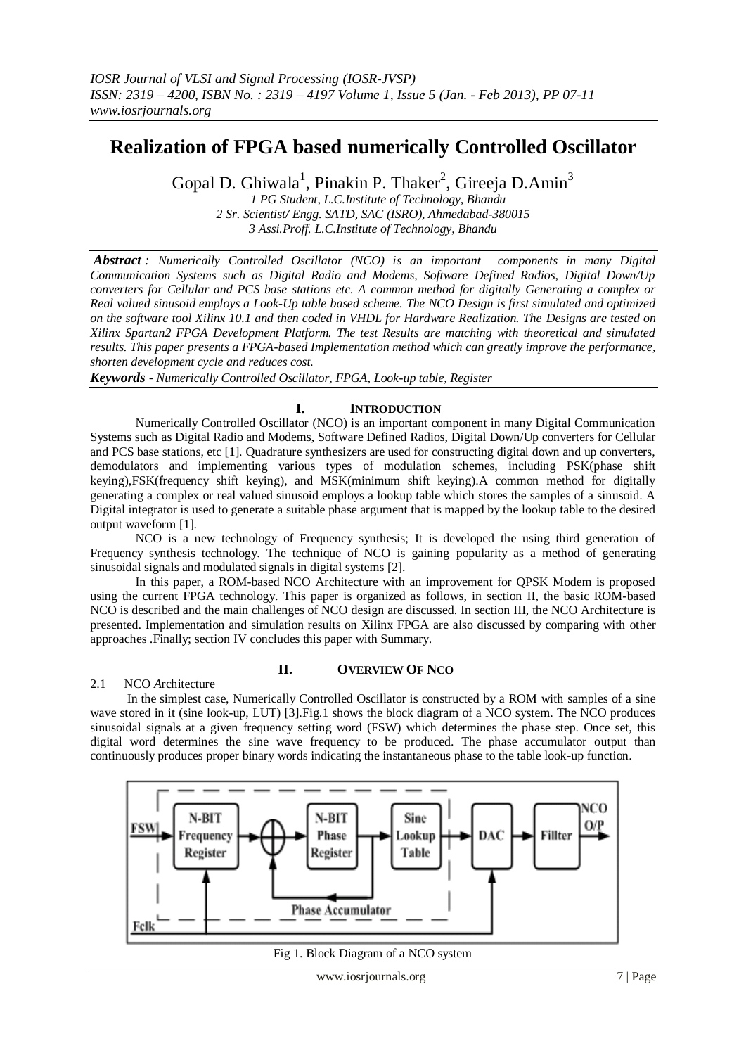# **Realization of FPGA based numerically Controlled Oscillator**

Gopal D. Ghiwala<sup>1</sup>, Pinakin P. Thaker<sup>2</sup>, Gireeja D.Amin<sup>3</sup>

*1 PG Student, L.C.Institute of Technology, Bhandu 2 Sr. Scientist/ Engg. SATD, SAC (ISRO), Ahmedabad-380015 3 Assi.Proff. L.C.Institute of Technology, Bhandu*

*Abstract : Numerically Controlled Oscillator (NCO) is an important components in many Digital Communication Systems such as Digital Radio and Modems, Software Defined Radios, Digital Down/Up converters for Cellular and PCS base stations etc. A common method for digitally Generating a complex or Real valued sinusoid employs a Look-Up table based scheme. The NCO Design is first simulated and optimized on the software tool Xilinx 10.1 and then coded in VHDL for Hardware Realization. The Designs are tested on Xilinx Spartan2 FPGA Development Platform. The test Results are matching with theoretical and simulated results. This paper presents a FPGA-based Implementation method which can greatly improve the performance, shorten development cycle and reduces cost.*

*Keywords - Numerically Controlled Oscillator, FPGA, Look-up table, Register*

## **I. INTRODUCTION**

Numerically Controlled Oscillator (NCO) is an important component in many Digital Communication Systems such as Digital Radio and Modems, Software Defined Radios, Digital Down/Up converters for Cellular and PCS base stations, etc [1]. Quadrature synthesizers are used for constructing digital down and up converters, demodulators and implementing various types of modulation schemes, including PSK(phase shift keying),FSK(frequency shift keying), and MSK(minimum shift keying).A common method for digitally generating a complex or real valued sinusoid employs a lookup table which stores the samples of a sinusoid. A Digital integrator is used to generate a suitable phase argument that is mapped by the lookup table to the desired output waveform [1].

NCO is a new technology of Frequency synthesis; It is developed the using third generation of Frequency synthesis technology. The technique of NCO is gaining popularity as a method of generating sinusoidal signals and modulated signals in digital systems [2].

In this paper, a ROM-based NCO Architecture with an improvement for QPSK Modem is proposed using the current FPGA technology. This paper is organized as follows, in section II, the basic ROM-based NCO is described and the main challenges of NCO design are discussed. In section III, the NCO Architecture is presented. Implementation and simulation results on Xilinx FPGA are also discussed by comparing with other approaches .Finally; section IV concludes this paper with Summary.

#### 2.1 NCO *A*rchitecture

#### **II. OVERVIEW OF NCO**

In the simplest case, Numerically Controlled Oscillator is constructed by a ROM with samples of a sine wave stored in it (sine look-up, LUT) [3]. Fig.1 shows the block diagram of a NCO system. The NCO produces sinusoidal signals at a given frequency setting word (FSW) which determines the phase step. Once set, this digital word determines the sine wave frequency to be produced. The phase accumulator output than continuously produces proper binary words indicating the instantaneous phase to the table look-up function.



Fig 1. Block Diagram of a NCO system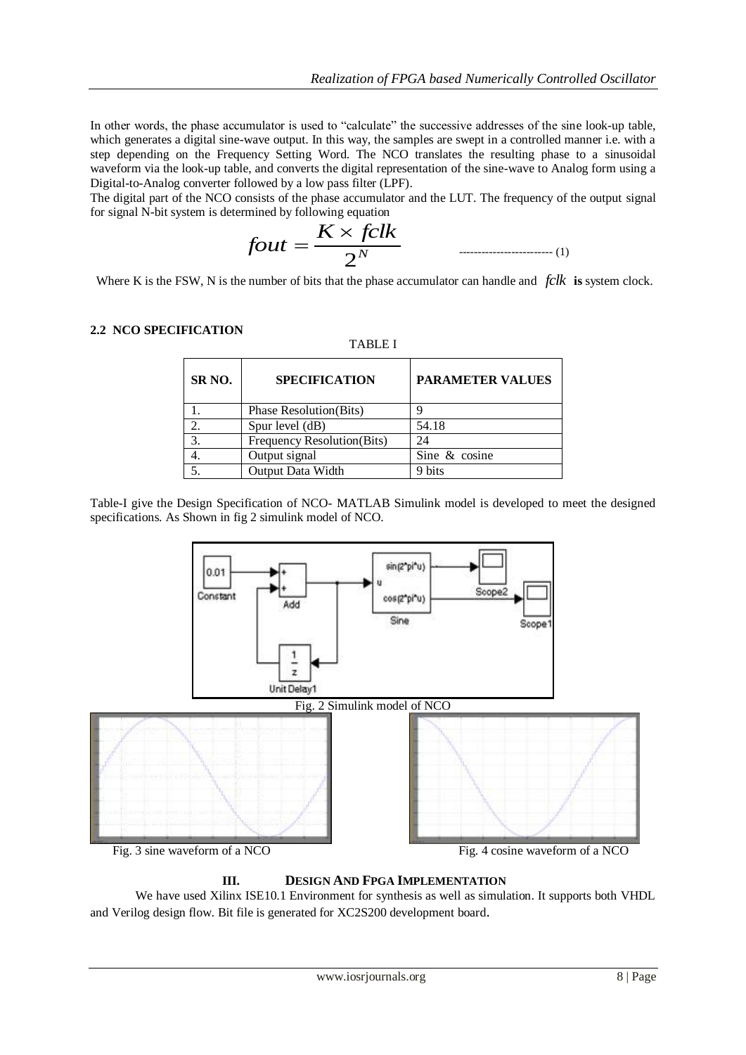In other words, the phase accumulator is used to "calculate" the successive addresses of the sine look-up table, which generates a digital sine-wave output. In this way, the samples are swept in a controlled manner i.e. with a step depending on the Frequency Setting Word. The NCO translates the resulting phase to a sinusoidal waveform via the look-up table, and converts the digital representation of the sine-wave to Analog form using a Digital-to-Analog converter followed by a low pass filter (LPF).

The digital part of the NCO consists of the phase accumulator and the LUT. The frequency of the output signal for signal N-bit system is determined by following equation

*N <sup>K</sup> fclk fout* 2 ------------------------- (1)

Where K is the FSW, N is the number of bits that the phase accumulator can handle and *fclk* **is** system clock.

TABLE I

#### **2.2 NCO SPECIFICATION**

| SR <sub>NO</sub> . | <b>SPECIFICATION</b>           | <b>PARAMETER VALUES</b> |
|--------------------|--------------------------------|-------------------------|
|                    | <b>Phase Resolution</b> (Bits) |                         |
| 2.                 | Spur level (dB)                | 54.18                   |
| 3                  | Frequency Resolution(Bits)     |                         |
|                    | Output signal                  | Sine & cosine           |
|                    | Output Data Width              | 9 bits                  |

Table-I give the Design Specification of NCO- MATLAB Simulink model is developed to meet the designed specifications. As Shown in fig 2 simulink model of NCO.



#### **III. DESIGN AND FPGA IMPLEMENTATION**

We have used Xilinx ISE10.1 Environment for synthesis as well as simulation. It supports both VHDL and Verilog design flow. Bit file is generated for XC2S200 development board.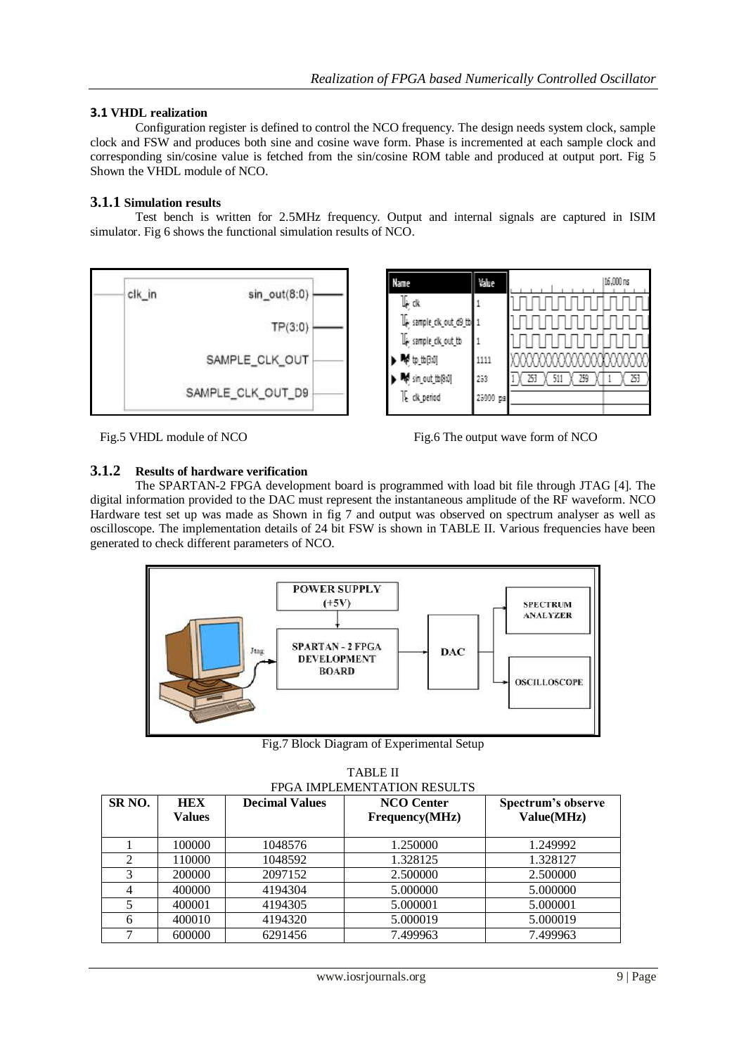#### **3.1 VHDL realization**

Configuration register is defined to control the NCO frequency. The design needs system clock, sample clock and FSW and produces both sine and cosine wave form. Phase is incremented at each sample clock and corresponding sin/cosine value is fetched from the sin/cosine ROM table and produced at output port. Fig 5 Shown the VHDL module of NCO.

#### **3.1.1 Simulation results**

Test bench is written for 2.5MHz frequency. Output and internal signals are captured in ISIM simulator. Fig 6 shows the functional simulation results of NCO.



Fig.5 VHDL module of NCO Fig.6 The output wave form of NCO

#### **3.1.2 Results of hardware verification**

The SPARTAN-2 FPGA development board is programmed with load bit file through JTAG [4]. The digital information provided to the DAC must represent the instantaneous amplitude of the RF waveform. NCO Hardware test set up was made as Shown in fig 7 and output was observed on spectrum analyser as well as oscilloscope. The implementation details of 24 bit FSW is shown in TABLE II. Various frequencies have been generated to check different parameters of NCO.



Fig.7 Block Diagram of Experimental Setup

| FPGA IMPLEMENTATION RESULTS |                             |                       |                                     |                                  |  |
|-----------------------------|-----------------------------|-----------------------|-------------------------------------|----------------------------------|--|
| SR <sub>NO</sub> .          | <b>HEX</b><br><b>Values</b> | <b>Decimal Values</b> | <b>NCO</b> Center<br>Frequency(MHz) | Spectrum's observe<br>Value(MHz) |  |
|                             | 100000                      | 1048576               | 1.250000                            | 1.249992                         |  |
| $\overline{2}$              | 110000                      | 1048592               | 1.328125                            | 1.328127                         |  |
| 3                           | 200000                      | 2097152               | 2.500000                            | 2.500000                         |  |
| 4                           | 400000                      | 4194304               | 5.000000                            | 5.000000                         |  |
| 5                           | 400001                      | 4194305               | 5.000001                            | 5.000001                         |  |
| 6                           | 400010                      | 4194320               | 5.000019                            | 5.000019                         |  |
|                             | 600000                      | 6291456               | 7.499963                            | 7.499963                         |  |

TABLE II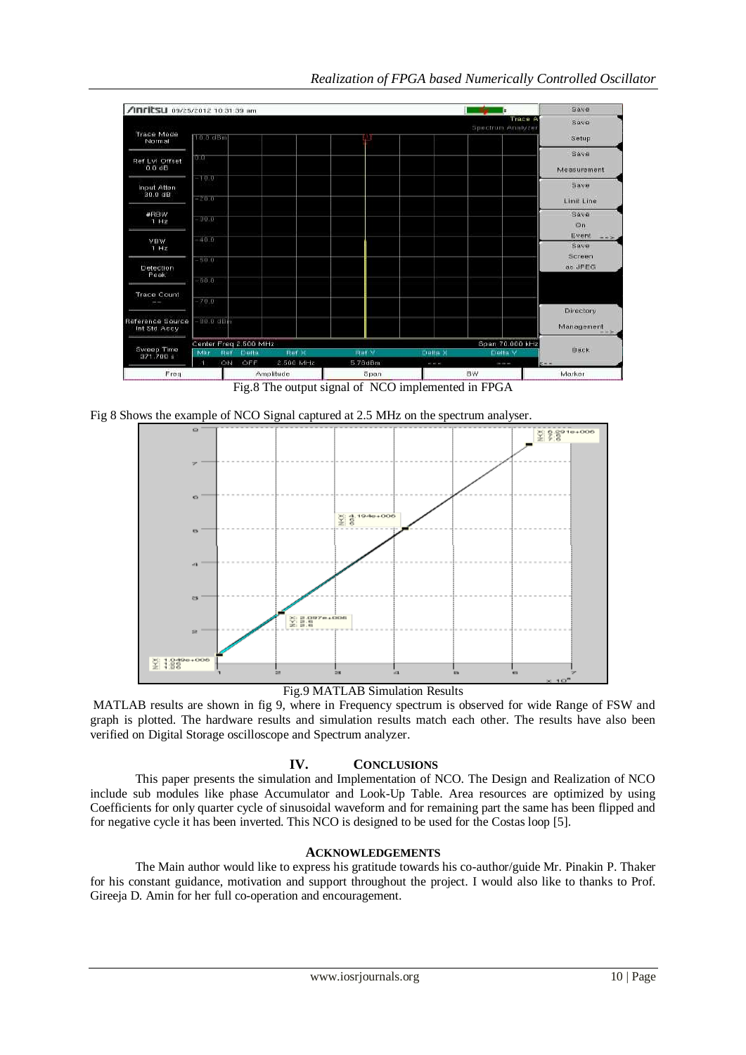

Fig.8 The output signal of NCO implemented in FPGA

Fig 8 Shows the example of NCO Signal captured at 2.5 MHz on the spectrum analyser.



Fig.9 MATLAB Simulation Results

MATLAB results are shown in fig 9, where in Frequency spectrum is observed for wide Range of FSW and graph is plotted. The hardware results and simulation results match each other. The results have also been verified on Digital Storage oscilloscope and Spectrum analyzer.

# **IV. CONCLUSIONS**

This paper presents the simulation and Implementation of NCO. The Design and Realization of NCO include sub modules like phase Accumulator and Look-Up Table. Area resources are optimized by using Coefficients for only quarter cycle of sinusoidal waveform and for remaining part the same has been flipped and for negative cycle it has been inverted. This NCO is designed to be used for the Costas loop [5].

### **ACKNOWLEDGEMENTS**

The Main author would like to express his gratitude towards his co-author/guide Mr. Pinakin P. Thaker for his constant guidance, motivation and support throughout the project. I would also like to thanks to Prof. Gireeja D. Amin for her full co-operation and encouragement.